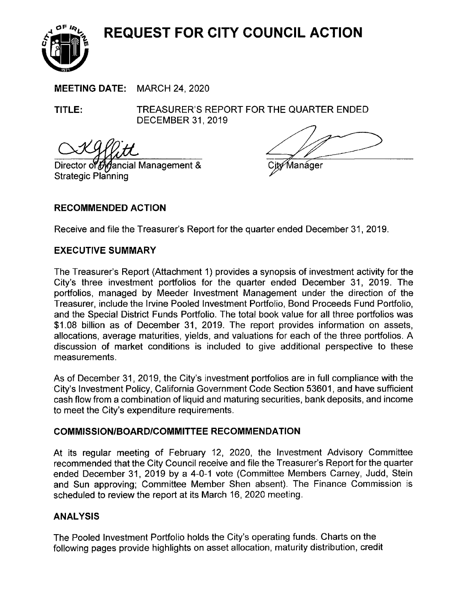**REQUEST FOR CITY COUNCIL ACTION** 



**MEETING DATE:** MARCH 24, 2020

**TITLE:** TREASURER'S REPORT FOR THE QUARTER ENDED DECEMBER 31, 2019

Director of  $\partial A$  ancial Management & Strategic Planning

Manáger

# **RECOMMENDED ACTION**

Receive and file the Treasurer's Report for the quarter ended December 31, 2019.

### **EXECUTIVE SUMMARY**

The Treasurer's Report (Attachment 1) provides a synopsis of investment activity for the City's three investment portfolios for the quarter ended December 31 , 2019. The portfolios, managed by Meeder Investment Management under the direction of the Treasurer, include the Irvine Pooled Investment Portfolio, Bond Proceeds Fund Portfolio, and the Special District Funds Portfolio. The total book value for all three portfolios was \$1.08 billion as of December 31, 2019. The report provides information on assets, allocations, average maturities, yields, and valuations for each of the three portfolios. A discussion of market conditions is included to give additional perspective to these measurements.

As of December 31, 2019, the City's investment portfolios are in full compliance with the ·City's Investment Policy, California Government Code Section 53601, and have sufficient cash flow from a combination of liquid and maturing securities, bank deposits, and income to meet the City's expenditure requirements.

### **COMMISSION/BOARD/COMMITTEE RECOMMENDATION**

At its regular meeting of February 12, 2020, the Investment Advisory Committee recommended that the City Council receive and file the Treasurer's Report for the quarter ended December 31, 2019 by a 4-0-1 vote (Committee Members Carney, Judd, Stein and Sun approving; Committee Member Shen absent). The Finance Commission is scheduled to review the report at its March 16, 2020 meeting.

# **ANALYSIS**

The Pooled Investment Portfolio holds the City's operating funds. Charts on the following pages provide highlights on asset allocation, maturity distribution, credit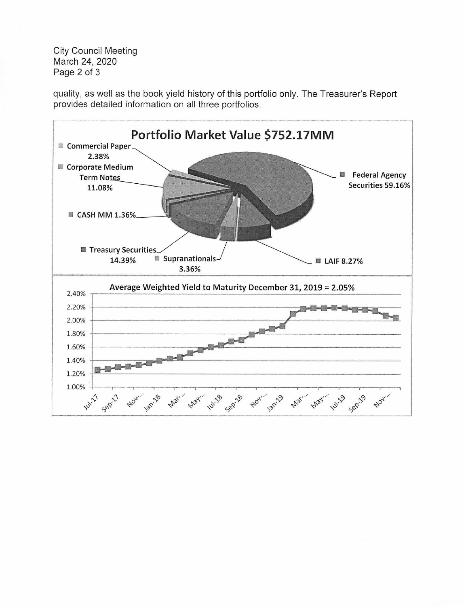City Council Meeting March 24, 2020 Page 2 of 3

quality, as well as the book yield history of this portfolio only. The Treasurer's Report provides detailed information on all three portfolios.

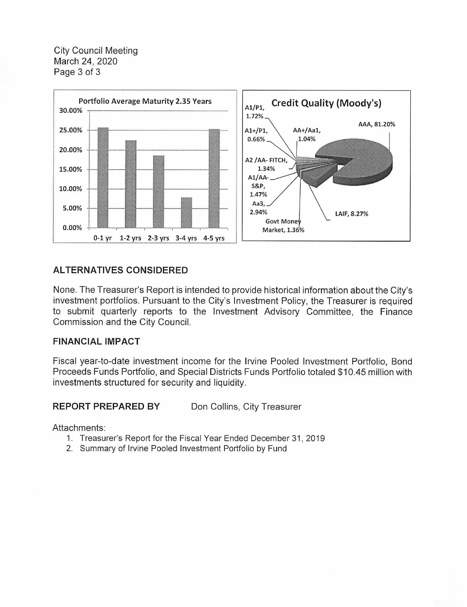City Council Meeting March 24, 2020 Page 3 of 3



# **ALTERNATIVES CONSIDERED**

None. The Treasurer's Report is intended to provide historical information about the City's investment portfolios. Pursuant to the City's Investment Policy, the Treasurer is required to submit quarterly reports to the Investment Advisory Committee, the Finance Commission and the City Council.

### **FINANCIAL IMPACT**

Fiscal year-to-date investment income for the Irvine Pooled Investment Portfolio, Bond Proceeds Funds Portfolio, and Special Districts Funds Portfolio totaled \$10.45 million with investments structured for security and liquidity.

### **REPORT PREPARED BY** Don Collins, City Treasurer

Attachments:

- 1. Treasurer's Report for the Fiscal Year Ended December 31, 2019
- 2. Summary of Irvine Pooled Investment Portfolio by Fund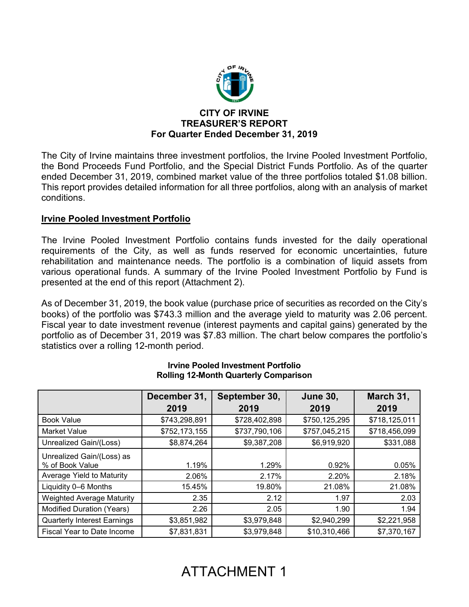

# **CITY OF IRVINE TREASURER'S REPORT For Quarter Ended December 31, 2019**

The City of Irvine maintains three investment portfolios, the Irvine Pooled Investment Portfolio, the Bond Proceeds Fund Portfolio, and the Special District Funds Portfolio. As of the quarter ended December 31, 2019, combined market value of the three portfolios totaled \$1.08 billion. This report provides detailed information for all three portfolios, along with an analysis of market conditions.

# **Irvine Pooled Investment Portfolio**

The Irvine Pooled Investment Portfolio contains funds invested for the daily operational requirements of the City, as well as funds reserved for economic uncertainties, future rehabilitation and maintenance needs. The portfolio is a combination of liquid assets from various operational funds. A summary of the Irvine Pooled Investment Portfolio by Fund is presented at the end of this report (Attachment 2).

As of December 31, 2019, the book value (purchase price of securities as recorded on the City's books) of the portfolio was \$743.3 million and the average yield to maturity was 2.06 percent. Fiscal year to date investment revenue (interest payments and capital gains) generated by the portfolio as of December 31, 2019 was \$7.83 million. The chart below compares the portfolio's statistics over a rolling 12-month period.

|                                    | December 31,  | September 30, | <b>June 30,</b> | March 31,     |
|------------------------------------|---------------|---------------|-----------------|---------------|
|                                    | 2019          | 2019          | 2019            | 2019          |
| <b>Book Value</b>                  | \$743,298,891 | \$728,402,898 | \$750,125,295   | \$718,125,011 |
| <b>Market Value</b>                | \$752,173,155 | \$737,790,106 | \$757,045,215   | \$718,456,099 |
| Unrealized Gain/(Loss)             | \$8,874,264   | \$9,387,208   | \$6,919,920     | \$331,088     |
| Unrealized Gain/(Loss) as          |               |               |                 |               |
| % of Book Value                    | 1.19%         | 1.29%         | 0.92%           | 0.05%         |
| Average Yield to Maturity          | 2.06%         | 2.17%         | 2.20%           | 2.18%         |
| Liquidity 0-6 Months               | 15.45%        | 19.80%        | 21.08%          | 21.08%        |
| <b>Weighted Average Maturity</b>   | 2.35          | 2.12          | 1.97            | 2.03          |
| Modified Duration (Years)          | 2.26          | 2.05          | 1.90            | 1.94          |
| <b>Quarterly Interest Earnings</b> | \$3,851,982   | \$3,979,848   | \$2,940,299     | \$2,221,958   |
| Fiscal Year to Date Income         | \$7,831,831   | \$3,979,848   | \$10,310,466    | \$7,370,167   |

#### **Irvine Pooled Investment Portfolio Rolling 12-Month Quarterly Comparison**

# ATTACHMENT 1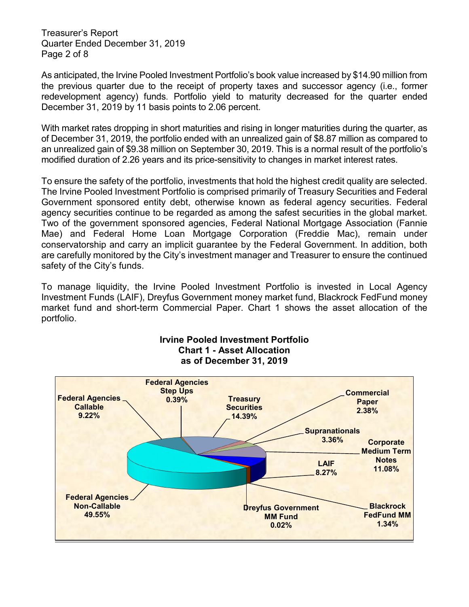Treasurer's Report Quarter Ended December 31, 2019 Page 2 of 8

As anticipated, the Irvine Pooled Investment Portfolio's book value increased by \$14.90 million from the previous quarter due to the receipt of property taxes and successor agency (i.e., former redevelopment agency) funds. Portfolio yield to maturity decreased for the quarter ended December 31, 2019 by 11 basis points to 2.06 percent.

With market rates dropping in short maturities and rising in longer maturities during the quarter, as of December 31, 2019, the portfolio ended with an unrealized gain of \$8.87 million as compared to an unrealized gain of \$9.38 million on September 30, 2019. This is a normal result of the portfolio's modified duration of 2.26 years and its price-sensitivity to changes in market interest rates.

To ensure the safety of the portfolio, investments that hold the highest credit quality are selected. The Irvine Pooled Investment Portfolio is comprised primarily of Treasury Securities and Federal Government sponsored entity debt, otherwise known as federal agency securities. Federal agency securities continue to be regarded as among the safest securities in the global market. Two of the government sponsored agencies, Federal National Mortgage Association (Fannie Mae) and Federal Home Loan Mortgage Corporation (Freddie Mac), remain under conservatorship and carry an implicit guarantee by the Federal Government. In addition, both are carefully monitored by the City's investment manager and Treasurer to ensure the continued safety of the City's funds.

To manage liquidity, the Irvine Pooled Investment Portfolio is invested in Local Agency Investment Funds (LAIF), Dreyfus Government money market fund, Blackrock FedFund money market fund and short-term Commercial Paper. Chart 1 shows the asset allocation of the portfolio.



### **Irvine Pooled Investment Portfolio Chart 1 - Asset Allocation as of December 31, 2019**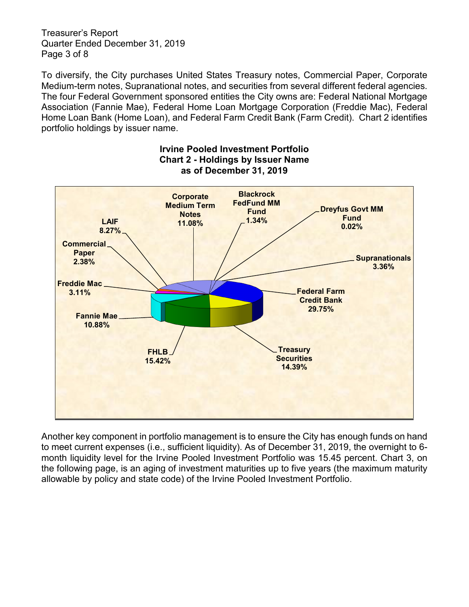Treasurer's Report Quarter Ended December 31, 2019 Page 3 of 8

To diversify, the City purchases United States Treasury notes, Commercial Paper, Corporate Medium-term notes, Supranational notes, and securities from several different federal agencies. The four Federal Government sponsored entities the City owns are: Federal National Mortgage Association (Fannie Mae), Federal Home Loan Mortgage Corporation (Freddie Mac), Federal Home Loan Bank (Home Loan), and Federal Farm Credit Bank (Farm Credit). Chart 2 identifies portfolio holdings by issuer name.



### **Irvine Pooled Investment Portfolio Chart 2 - Holdings by Issuer Name as of December 31, 2019**

Another key component in portfolio management is to ensure the City has enough funds on hand to meet current expenses (i.e., sufficient liquidity). As of December 31, 2019, the overnight to 6 month liquidity level for the Irvine Pooled Investment Portfolio was 15.45 percent. Chart 3, on the following page, is an aging of investment maturities up to five years (the maximum maturity allowable by policy and state code) of the Irvine Pooled Investment Portfolio.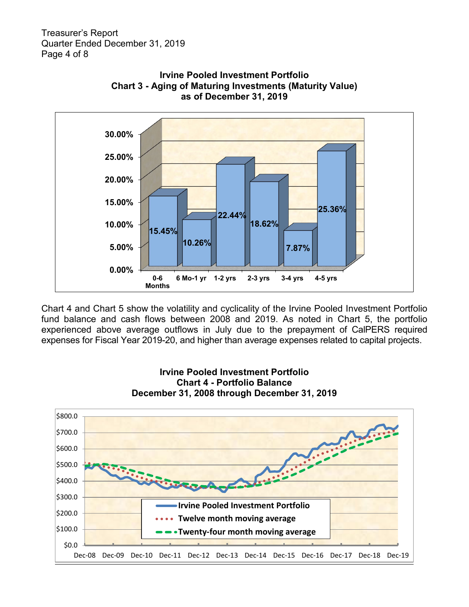Treasurer's Report Quarter Ended December 31, 2019 Page 4 of 8



**Irvine Pooled Investment Portfolio Chart 3 - Aging of Maturing Investments (Maturity Value) as of December 31, 2019**

Chart 4 and Chart 5 show the volatility and cyclicality of the Irvine Pooled Investment Portfolio fund balance and cash flows between 2008 and 2019. As noted in Chart 5, the portfolio experienced above average outflows in July due to the prepayment of CalPERS required expenses for Fiscal Year 2019-20, and higher than average expenses related to capital projects.



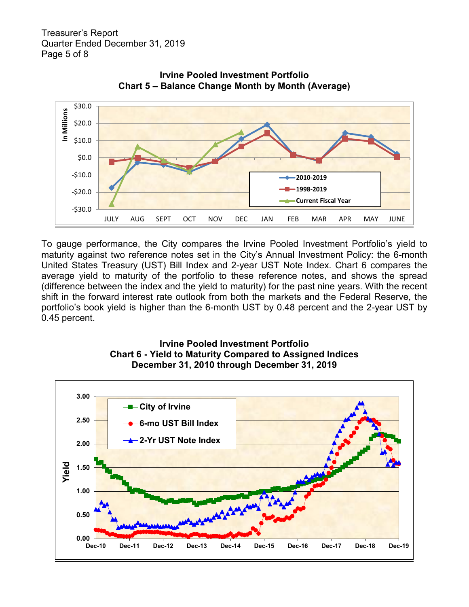



To gauge performance, the City compares the Irvine Pooled Investment Portfolio's yield to maturity against two reference notes set in the City's Annual Investment Policy: the 6-month United States Treasury (UST) Bill Index and 2-year UST Note Index. Chart 6 compares the average yield to maturity of the portfolio to these reference notes, and shows the spread (difference between the index and the yield to maturity) for the past nine years. With the recent shift in the forward interest rate outlook from both the markets and the Federal Reserve, the portfolio's book yield is higher than the 6-month UST by 0.48 percent and the 2-year UST by 0.45 percent.



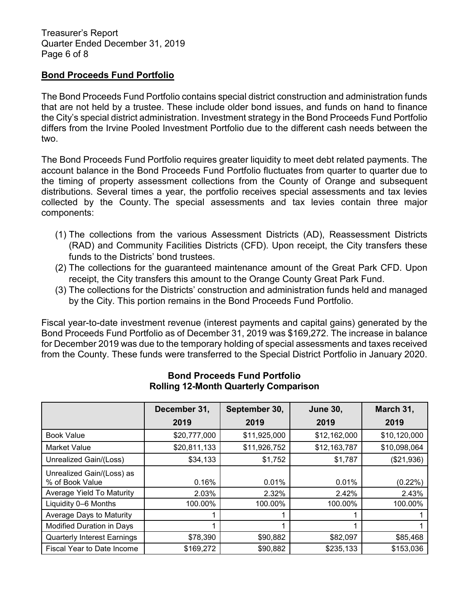Treasurer's Report Quarter Ended December 31, 2019 Page 6 of 8

## **Bond Proceeds Fund Portfolio**

The Bond Proceeds Fund Portfolio contains special district construction and administration funds that are not held by a trustee. These include older bond issues, and funds on hand to finance the City's special district administration. Investment strategy in the Bond Proceeds Fund Portfolio differs from the Irvine Pooled Investment Portfolio due to the different cash needs between the two.

The Bond Proceeds Fund Portfolio requires greater liquidity to meet debt related payments. The account balance in the Bond Proceeds Fund Portfolio fluctuates from quarter to quarter due to the timing of property assessment collections from the County of Orange and subsequent distributions. Several times a year, the portfolio receives special assessments and tax levies collected by the County. The special assessments and tax levies contain three major components:

- (1) The collections from the various Assessment Districts (AD), Reassessment Districts (RAD) and Community Facilities Districts (CFD). Upon receipt, the City transfers these funds to the Districts' bond trustees.
- (2) The collections for the guaranteed maintenance amount of the Great Park CFD. Upon receipt, the City transfers this amount to the Orange County Great Park Fund.
- (3) The collections for the Districts' construction and administration funds held and managed by the City. This portion remains in the Bond Proceeds Fund Portfolio.

Fiscal year-to-date investment revenue (interest payments and capital gains) generated by the Bond Proceeds Fund Portfolio as of December 31, 2019 was \$169,272. The increase in balance for December 2019 was due to the temporary holding of special assessments and taxes received from the County. These funds were transferred to the Special District Portfolio in January 2020.

|                                              | December 31, | September 30, | <b>June 30,</b> | March 31,    |
|----------------------------------------------|--------------|---------------|-----------------|--------------|
|                                              | 2019         | 2019          | 2019            | 2019         |
| <b>Book Value</b>                            | \$20,777,000 | \$11,925,000  | \$12,162,000    | \$10,120,000 |
| <b>Market Value</b>                          | \$20,811,133 | \$11,926,752  | \$12,163,787    | \$10,098,064 |
| Unrealized Gain/(Loss)                       | \$34,133     | \$1,752       | \$1,787         | (\$21,936)   |
| Unrealized Gain/(Loss) as<br>% of Book Value | 0.16%        | 0.01%         | 0.01%           | $(0.22\%)$   |
| Average Yield To Maturity                    | 2.03%        | 2.32%         | 2.42%           | 2.43%        |
| Liquidity 0-6 Months                         | 100.00%      | 100.00%       | 100.00%         | 100.00%      |
| Average Days to Maturity                     |              |               |                 |              |
| Modified Duration in Days                    |              |               |                 |              |
| <b>Quarterly Interest Earnings</b>           | \$78,390     | \$90,882      | \$82,097        | \$85,468     |
| Fiscal Year to Date Income                   | \$169,272    | \$90,882      | \$235,133       | \$153,036    |

# **Bond Proceeds Fund Portfolio Rolling 12-Month Quarterly Comparison**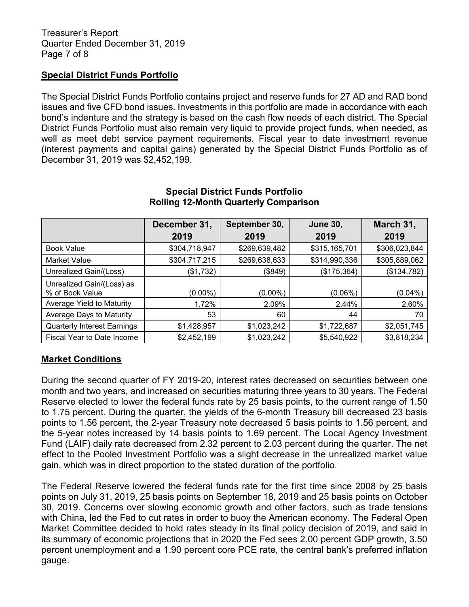## **Special District Funds Portfolio**

The Special District Funds Portfolio contains project and reserve funds for 27 AD and RAD bond issues and five CFD bond issues. Investments in this portfolio are made in accordance with each bond's indenture and the strategy is based on the cash flow needs of each district. The Special District Funds Portfolio must also remain very liquid to provide project funds, when needed, as well as meet debt service payment requirements. Fiscal year to date investment revenue (interest payments and capital gains) generated by the Special District Funds Portfolio as of December 31, 2019 was \$2,452,199.

|                                              | December 31,  | September 30, | <b>June 30,</b> | March 31,     |
|----------------------------------------------|---------------|---------------|-----------------|---------------|
|                                              | 2019          | 2019          | 2019            | 2019          |
| <b>Book Value</b>                            | \$304,718,947 | \$269,639,482 | \$315,165,701   | \$306,023,844 |
| Market Value                                 | \$304,717,215 | \$269,638,633 | \$314,990,336   | \$305,889,062 |
| Unrealized Gain/(Loss)                       | (\$1,732)     | (\$849)       | (\$175,364)     | (\$134,782)   |
| Unrealized Gain/(Loss) as<br>% of Book Value | $(0.00\%)$    | $(0.00\%)$    | $(0.06\%)$      | $(0.04\%)$    |
| Average Yield to Maturity                    | 1.72%         | 2.09%         | 2.44%           | 2.60%         |
| Average Days to Maturity                     | 53            | 60            | 44              | 70            |
| <b>Quarterly Interest Earnings</b>           | \$1,428,957   | \$1,023,242   | \$1,722,687     | \$2,051,745   |
| Fiscal Year to Date Income                   | \$2,452,199   | \$1,023,242   | \$5,540,922     | \$3,818,234   |

### **Special District Funds Portfolio Rolling 12-Month Quarterly Comparison**

# **Market Conditions**

During the second quarter of FY 2019-20, interest rates decreased on securities between one month and two years, and increased on securities maturing three years to 30 years. The Federal Reserve elected to lower the federal funds rate by 25 basis points, to the current range of 1.50 to 1.75 percent. During the quarter, the yields of the 6-month Treasury bill decreased 23 basis points to 1.56 percent, the 2-year Treasury note decreased 5 basis points to 1.56 percent, and the 5-year notes increased by 14 basis points to 1.69 percent. The Local Agency Investment Fund (LAIF) daily rate decreased from 2.32 percent to 2.03 percent during the quarter. The net effect to the Pooled Investment Portfolio was a slight decrease in the unrealized market value gain, which was in direct proportion to the stated duration of the portfolio.

The Federal Reserve lowered the federal funds rate for the first time since 2008 by 25 basis points on July 31, 2019, 25 basis points on September 18, 2019 and 25 basis points on October 30, 2019. Concerns over slowing economic growth and other factors, such as trade tensions with China, led the Fed to cut rates in order to buoy the American economy. The Federal Open Market Committee decided to hold rates steady in its final policy decision of 2019, and said in its summary of economic projections that in 2020 the Fed sees 2.00 percent GDP growth, 3.50 percent unemployment and a 1.90 percent core PCE rate, the central bank's preferred inflation gauge.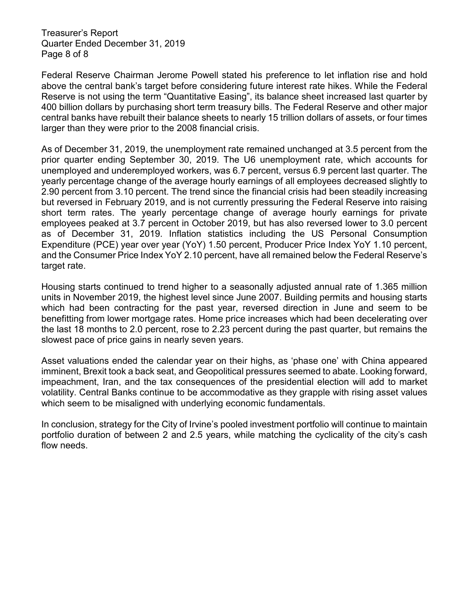Treasurer's Report Quarter Ended December 31, 2019 Page 8 of 8

Federal Reserve Chairman Jerome Powell stated his preference to let inflation rise and hold above the central bank's target before considering future interest rate hikes. While the Federal Reserve is not using the term "Quantitative Easing", its balance sheet increased last quarter by 400 billion dollars by purchasing short term treasury bills. The Federal Reserve and other major central banks have rebuilt their balance sheets to nearly 15 trillion dollars of assets, or four times larger than they were prior to the 2008 financial crisis.

As of December 31, 2019, the unemployment rate remained unchanged at 3.5 percent from the prior quarter ending September 30, 2019. The U6 unemployment rate, which accounts for unemployed and underemployed workers, was 6.7 percent, versus 6.9 percent last quarter. The yearly percentage change of the average hourly earnings of all employees decreased slightly to 2.90 percent from 3.10 percent. The trend since the financial crisis had been steadily increasing but reversed in February 2019, and is not currently pressuring the Federal Reserve into raising short term rates. The yearly percentage change of average hourly earnings for private employees peaked at 3.7 percent in October 2019, but has also reversed lower to 3.0 percent as of December 31, 2019. Inflation statistics including the US Personal Consumption Expenditure (PCE) year over year (YoY) 1.50 percent, Producer Price Index YoY 1.10 percent, and the Consumer Price Index YoY 2.10 percent, have all remained below the Federal Reserve's target rate.

Housing starts continued to trend higher to a seasonally adjusted annual rate of 1.365 million units in November 2019, the highest level since June 2007. Building permits and housing starts which had been contracting for the past year, reversed direction in June and seem to be benefitting from lower mortgage rates. Home price increases which had been decelerating over the last 18 months to 2.0 percent, rose to 2.23 percent during the past quarter, but remains the slowest pace of price gains in nearly seven years.

Asset valuations ended the calendar year on their highs, as 'phase one' with China appeared imminent, Brexit took a back seat, and Geopolitical pressures seemed to abate. Looking forward, impeachment, Iran, and the tax consequences of the presidential election will add to market volatility. Central Banks continue to be accommodative as they grapple with rising asset values which seem to be misaligned with underlying economic fundamentals.

In conclusion, strategy for the City of Irvine's pooled investment portfolio will continue to maintain portfolio duration of between 2 and 2.5 years, while matching the cyclicality of the city's cash flow needs.